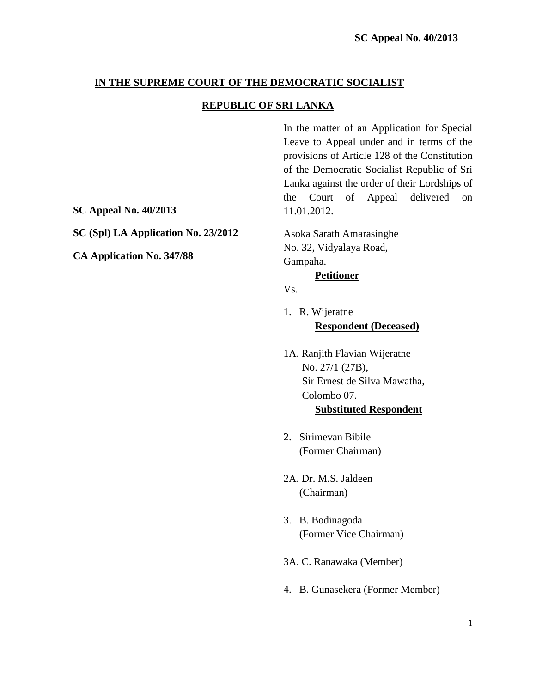### **IN THE SUPREME COURT OF THE DEMOCRATIC SOCIALIST**

#### **REPUBLIC OF SRI LANKA**

In the matter of an Application for Special Leave to Appeal under and in terms of the provisions of Article 128 of the Constitution of the Democratic Socialist Republic of Sri Lanka against the order of their Lordships of the Court of Appeal delivered on 11.01.2012.

Asoka Sarath Amarasinghe No. 32, Vidyalaya Road, Gampaha.

#### **Petitioner**

Vs.

- 1. R. Wijeratne **Respondent (Deceased)**
- 1A. Ranjith Flavian Wijeratne No. 27/1 (27B), Sir Ernest de Silva Mawatha, Colombo 07. **Substituted Respondent**
- 2. Sirimevan Bibile (Former Chairman)
- 2A. Dr. M.S. Jaldeen (Chairman)
- 3. B. Bodinagoda (Former Vice Chairman)
- 3A. C. Ranawaka (Member)
- 4. B. Gunasekera (Former Member)

**SC Appeal No. 40/2013**

**SC (Spl) LA Application No. 23/2012**

**CA Application No. 347/88**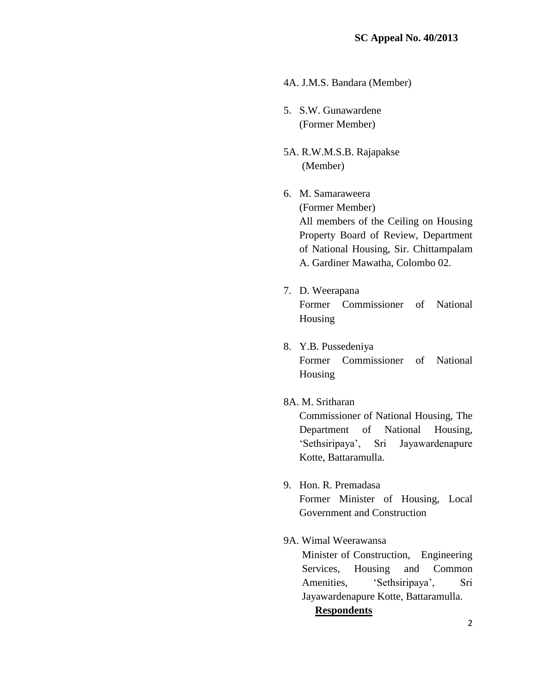- 4A. J.M.S. Bandara (Member)
- 5. S.W. Gunawardene (Former Member)
- 5A. R.W.M.S.B. Rajapakse (Member)
- 6. M. Samaraweera

(Former Member) All members of the Ceiling on Housing Property Board of Review, Department of National Housing, Sir. Chittampalam A. Gardiner Mawatha, Colombo 02.

- 7. D. Weerapana Former Commissioner of National Housing
- 8. Y.B. Pussedeniya Former Commissioner of National Housing
- 8A. M. Sritharan

Commissioner of National Housing, The Department of National Housing, "Sethsiripaya", Sri Jayawardenapure Kotte, Battaramulla.

9. Hon. R. Premadasa

Former Minister of Housing, Local Government and Construction

9A. Wimal Weerawansa

Minister of Construction, Engineering Services, Housing and Common Amenities, 'Sethsiripaya', Sri Jayawardenapure Kotte, Battaramulla.

#### **Respondents**

2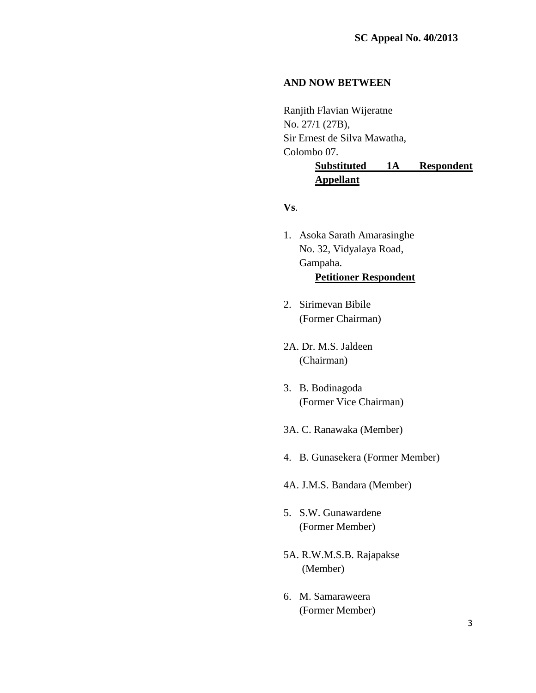### **AND NOW BETWEEN**

Ranjith Flavian Wijeratne No. 27/1 (27B), Sir Ernest de Silva Mawatha, Colombo 07. **Substituted 1A Respondent Appellant**

**Vs**.

- 1. Asoka Sarath Amarasinghe No. 32, Vidyalaya Road, Gampaha. **Petitioner Respondent**
- 2. Sirimevan Bibile (Former Chairman)
- 2A. Dr. M.S. Jaldeen (Chairman)
- 3. B. Bodinagoda (Former Vice Chairman)
- 3A. C. Ranawaka (Member)
- 4. B. Gunasekera (Former Member)
- 4A. J.M.S. Bandara (Member)
- 5. S.W. Gunawardene (Former Member)
- 5A. R.W.M.S.B. Rajapakse (Member)
- 6. M. Samaraweera (Former Member)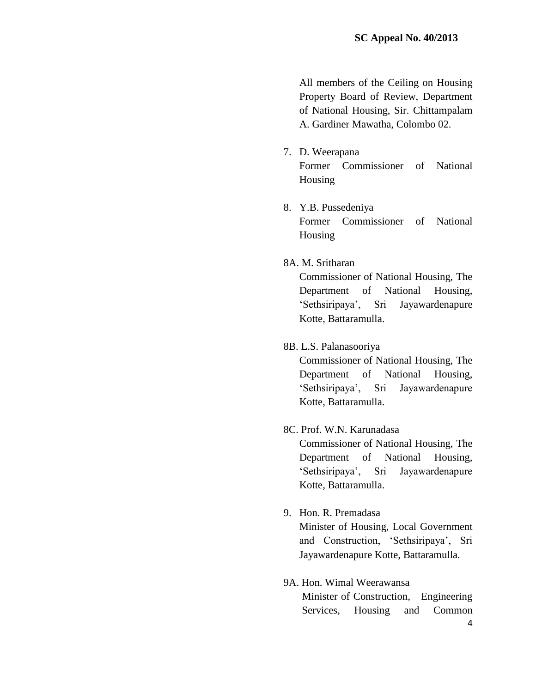All members of the Ceiling on Housing Property Board of Review, Department of National Housing, Sir. Chittampalam A. Gardiner Mawatha, Colombo 02.

- 7. D. Weerapana Former Commissioner of National Housing
- 8. Y.B. Pussedeniya Former Commissioner of National Housing
- 8A. M. Sritharan

Commissioner of National Housing, The Department of National Housing, "Sethsiripaya", Sri Jayawardenapure Kotte, Battaramulla.

8B. L.S. Palanasooriya

Commissioner of National Housing, The Department of National Housing, "Sethsiripaya", Sri Jayawardenapure Kotte, Battaramulla.

### 8C. Prof. W.N. Karunadasa

Commissioner of National Housing, The Department of National Housing, "Sethsiripaya", Sri Jayawardenapure Kotte, Battaramulla.

9. Hon. R. Premadasa

Minister of Housing, Local Government and Construction, "Sethsiripaya", Sri Jayawardenapure Kotte, Battaramulla.

# 9A. Hon. Wimal Weerawansa

Minister of Construction, Engineering Services, Housing and Common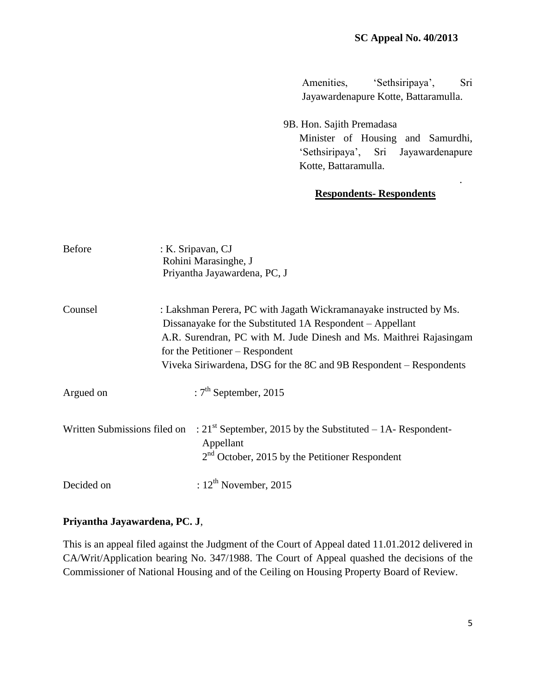.

Amenities, 'Sethsiripaya', Sri Jayawardenapure Kotte, Battaramulla.

9B. Hon. Sajith Premadasa Minister of Housing and Samurdhi, "Sethsiripaya", Sri Jayawardenapure Kotte, Battaramulla.

## **Respondents- Respondents**

| <b>Before</b>                | : K. Sripavan, CJ<br>Rohini Marasinghe, J<br>Priyantha Jayawardena, PC, J                                                                                                                                                                                                                                      |
|------------------------------|----------------------------------------------------------------------------------------------------------------------------------------------------------------------------------------------------------------------------------------------------------------------------------------------------------------|
| Counsel                      | : Lakshman Perera, PC with Jagath Wickramanayake instructed by Ms.<br>Dissanayake for the Substituted 1A Respondent – Appellant<br>A.R. Surendran, PC with M. Jude Dinesh and Ms. Maithrei Rajasingam<br>for the Petitioner – Respondent<br>Viveka Siriwardena, DSG for the 8C and 9B Respondent – Respondents |
| Argued on                    | : $7th$ September, 2015                                                                                                                                                                                                                                                                                        |
| Written Submissions filed on | : $21st$ September, 2015 by the Substituted – 1A-Respondent-<br>Appellant<br>$2nd$ October, 2015 by the Petitioner Respondent                                                                                                                                                                                  |
| Decided on                   | : $12^{\text{th}}$ November, 2015                                                                                                                                                                                                                                                                              |

#### **Priyantha Jayawardena, PC. J**,

This is an appeal filed against the Judgment of the Court of Appeal dated 11.01.2012 delivered in CA/Writ/Application bearing No. 347/1988. The Court of Appeal quashed the decisions of the Commissioner of National Housing and of the Ceiling on Housing Property Board of Review.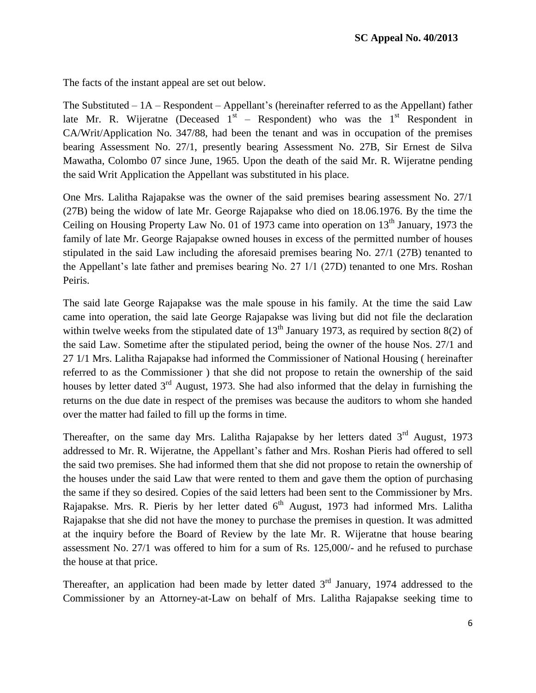The facts of the instant appeal are set out below.

The Substituted – 1A – Respondent – Appellant"s (hereinafter referred to as the Appellant) father late Mr. R. Wijeratne (Deceased  $1<sup>st</sup>$  – Respondent) who was the  $1<sup>st</sup>$  Respondent in CA/Writ/Application No. 347/88, had been the tenant and was in occupation of the premises bearing Assessment No. 27/1, presently bearing Assessment No. 27B, Sir Ernest de Silva Mawatha, Colombo 07 since June, 1965. Upon the death of the said Mr. R. Wijeratne pending the said Writ Application the Appellant was substituted in his place.

One Mrs. Lalitha Rajapakse was the owner of the said premises bearing assessment No. 27/1 (27B) being the widow of late Mr. George Rajapakse who died on 18.06.1976. By the time the Ceiling on Housing Property Law No. 01 of 1973 came into operation on  $13<sup>th</sup>$  January, 1973 the family of late Mr. George Rajapakse owned houses in excess of the permitted number of houses stipulated in the said Law including the aforesaid premises bearing No. 27/1 (27B) tenanted to the Appellant's late father and premises bearing No. 27 1/1 (27D) tenanted to one Mrs. Roshan Peiris.

The said late George Rajapakse was the male spouse in his family. At the time the said Law came into operation, the said late George Rajapakse was living but did not file the declaration within twelve weeks from the stipulated date of  $13<sup>th</sup>$  January 1973, as required by section 8(2) of the said Law. Sometime after the stipulated period, being the owner of the house Nos. 27/1 and 27 1/1 Mrs. Lalitha Rajapakse had informed the Commissioner of National Housing ( hereinafter referred to as the Commissioner ) that she did not propose to retain the ownership of the said houses by letter dated  $3<sup>rd</sup>$  August, 1973. She had also informed that the delay in furnishing the returns on the due date in respect of the premises was because the auditors to whom she handed over the matter had failed to fill up the forms in time.

Thereafter, on the same day Mrs. Lalitha Rajapakse by her letters dated  $3<sup>rd</sup>$  August, 1973 addressed to Mr. R. Wijeratne, the Appellant"s father and Mrs. Roshan Pieris had offered to sell the said two premises. She had informed them that she did not propose to retain the ownership of the houses under the said Law that were rented to them and gave them the option of purchasing the same if they so desired. Copies of the said letters had been sent to the Commissioner by Mrs. Rajapakse. Mrs. R. Pieris by her letter dated  $6<sup>th</sup>$  August, 1973 had informed Mrs. Lalitha Rajapakse that she did not have the money to purchase the premises in question. It was admitted at the inquiry before the Board of Review by the late Mr. R. Wijeratne that house bearing assessment No. 27/1 was offered to him for a sum of Rs. 125,000/- and he refused to purchase the house at that price.

Thereafter, an application had been made by letter dated  $3<sup>rd</sup>$  January, 1974 addressed to the Commissioner by an Attorney-at-Law on behalf of Mrs. Lalitha Rajapakse seeking time to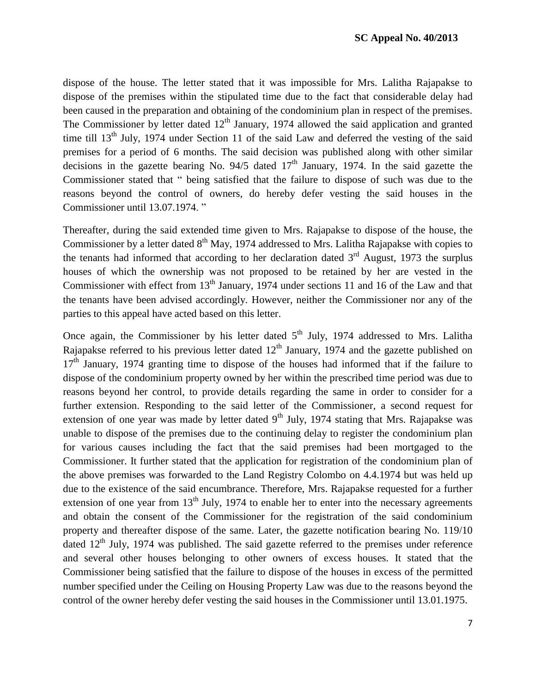dispose of the house. The letter stated that it was impossible for Mrs. Lalitha Rajapakse to dispose of the premises within the stipulated time due to the fact that considerable delay had been caused in the preparation and obtaining of the condominium plan in respect of the premises. The Commissioner by letter dated  $12<sup>th</sup>$  January, 1974 allowed the said application and granted time till  $13<sup>th</sup>$  July, 1974 under Section 11 of the said Law and deferred the vesting of the said premises for a period of 6 months. The said decision was published along with other similar decisions in the gazette bearing No.  $94/5$  dated  $17<sup>th</sup>$  January, 1974. In the said gazette the Commissioner stated that " being satisfied that the failure to dispose of such was due to the reasons beyond the control of owners, do hereby defer vesting the said houses in the Commissioner until 13.07.1974. "

Thereafter, during the said extended time given to Mrs. Rajapakse to dispose of the house, the Commissioner by a letter dated 8<sup>th</sup> May, 1974 addressed to Mrs. Lalitha Rajapakse with copies to the tenants had informed that according to her declaration dated  $3<sup>rd</sup>$  August, 1973 the surplus houses of which the ownership was not proposed to be retained by her are vested in the Commissioner with effect from  $13<sup>th</sup>$  January, 1974 under sections 11 and 16 of the Law and that the tenants have been advised accordingly. However, neither the Commissioner nor any of the parties to this appeal have acted based on this letter.

Once again, the Commissioner by his letter dated  $5<sup>th</sup>$  July, 1974 addressed to Mrs. Lalitha Rajapakse referred to his previous letter dated  $12<sup>th</sup>$  January, 1974 and the gazette published on  $17<sup>th</sup>$  January, 1974 granting time to dispose of the houses had informed that if the failure to dispose of the condominium property owned by her within the prescribed time period was due to reasons beyond her control, to provide details regarding the same in order to consider for a further extension. Responding to the said letter of the Commissioner, a second request for extension of one year was made by letter dated  $9<sup>th</sup>$  July, 1974 stating that Mrs. Rajapakse was unable to dispose of the premises due to the continuing delay to register the condominium plan for various causes including the fact that the said premises had been mortgaged to the Commissioner. It further stated that the application for registration of the condominium plan of the above premises was forwarded to the Land Registry Colombo on 4.4.1974 but was held up due to the existence of the said encumbrance. Therefore, Mrs. Rajapakse requested for a further extension of one year from  $13<sup>th</sup>$  July, 1974 to enable her to enter into the necessary agreements and obtain the consent of the Commissioner for the registration of the said condominium property and thereafter dispose of the same. Later, the gazette notification bearing No. 119/10 dated  $12<sup>th</sup>$  July, 1974 was published. The said gazette referred to the premises under reference and several other houses belonging to other owners of excess houses. It stated that the Commissioner being satisfied that the failure to dispose of the houses in excess of the permitted number specified under the Ceiling on Housing Property Law was due to the reasons beyond the control of the owner hereby defer vesting the said houses in the Commissioner until 13.01.1975.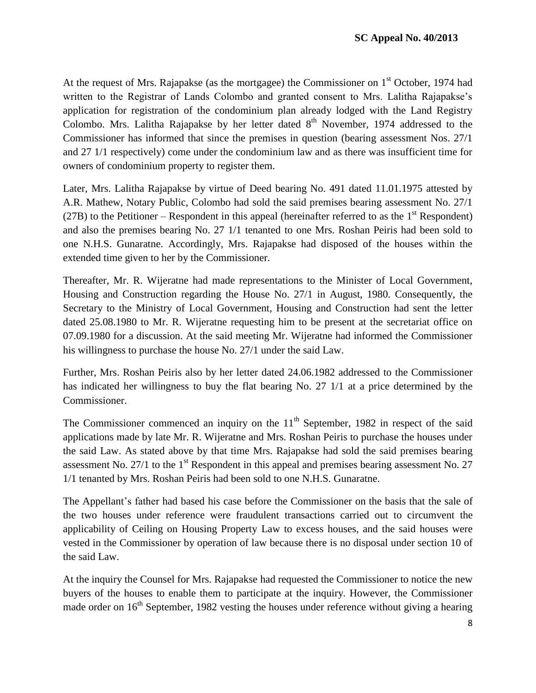At the request of Mrs. Rajapakse (as the mortgagee) the Commissioner on 1<sup>st</sup> October, 1974 had written to the Registrar of Lands Colombo and granted consent to Mrs. Lalitha Rajapakse"s application for registration of the condominium plan already lodged with the Land Registry Colombo. Mrs. Lalitha Rajapakse by her letter dated  $8<sup>th</sup>$  November, 1974 addressed to the Commissioner has informed that since the premises in question (bearing assessment Nos. 27/1 and 27 1/1 respectively) come under the condominium law and as there was insufficient time for owners of condominium property to register them.

Later, Mrs. Lalitha Rajapakse by virtue of Deed bearing No. 491 dated 11.01.1975 attested by A.R. Mathew, Notary Public, Colombo had sold the said premises bearing assessment No. 27/1  $(27B)$  to the Petitioner – Respondent in this appeal (hereinafter referred to as the  $1<sup>st</sup>$  Respondent) and also the premises bearing No. 27 1/1 tenanted to one Mrs. Roshan Peiris had been sold to one N.H.S. Gunaratne. Accordingly, Mrs. Rajapakse had disposed of the houses within the extended time given to her by the Commissioner.

Thereafter, Mr. R. Wijeratne had made representations to the Minister of Local Government, Housing and Construction regarding the House No. 27/1 in August, 1980. Consequently, the Secretary to the Ministry of Local Government, Housing and Construction had sent the letter dated 25.08.1980 to Mr. R. Wijeratne requesting him to be present at the secretariat office on 07.09.1980 for a discussion. At the said meeting Mr. Wijeratne had informed the Commissioner his willingness to purchase the house No. 27/1 under the said Law.

Further, Mrs. Roshan Peiris also by her letter dated 24.06.1982 addressed to the Commissioner has indicated her willingness to buy the flat bearing No. 27 1/1 at a price determined by the Commissioner.

The Commissioner commenced an inquiry on the  $11<sup>th</sup>$  September, 1982 in respect of the said applications made by late Mr. R. Wijeratne and Mrs. Roshan Peiris to purchase the houses under the said Law. As stated above by that time Mrs. Rajapakse had sold the said premises bearing assessment No. 27/1 to the  $1<sup>st</sup>$  Respondent in this appeal and premises bearing assessment No. 27 1/1 tenanted by Mrs. Roshan Peiris had been sold to one N.H.S. Gunaratne.

The Appellant"s father had based his case before the Commissioner on the basis that the sale of the two houses under reference were fraudulent transactions carried out to circumvent the applicability of Ceiling on Housing Property Law to excess houses, and the said houses were vested in the Commissioner by operation of law because there is no disposal under section 10 of the said Law.

At the inquiry the Counsel for Mrs. Rajapakse had requested the Commissioner to notice the new buyers of the houses to enable them to participate at the inquiry. However, the Commissioner made order on  $16<sup>th</sup>$  September, 1982 vesting the houses under reference without giving a hearing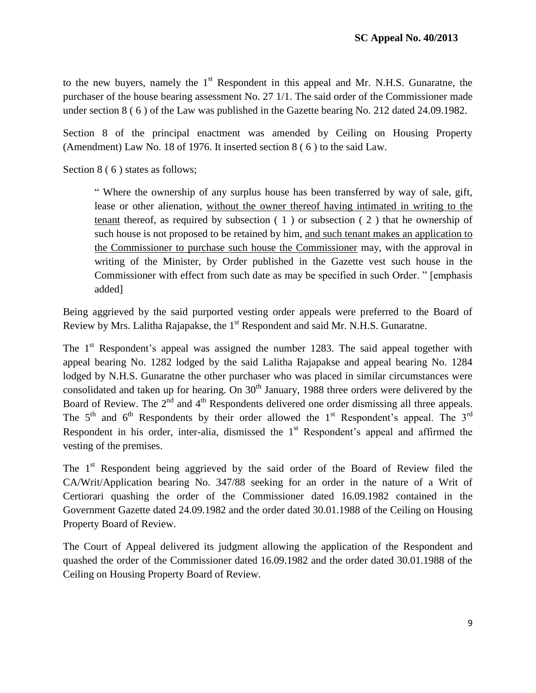to the new buyers, namely the  $1<sup>st</sup>$  Respondent in this appeal and Mr. N.H.S. Gunaratne, the purchaser of the house bearing assessment No. 27 1/1. The said order of the Commissioner made under section 8 ( 6 ) of the Law was published in the Gazette bearing No. 212 dated 24.09.1982.

Section 8 of the principal enactment was amended by Ceiling on Housing Property (Amendment) Law No. 18 of 1976. It inserted section 8 ( 6 ) to the said Law.

Section 8 (6) states as follows;

" Where the ownership of any surplus house has been transferred by way of sale, gift, lease or other alienation, without the owner thereof having intimated in writing to the tenant thereof, as required by subsection  $(1)$  or subsection  $(2)$  that he ownership of such house is not proposed to be retained by him, and such tenant makes an application to the Commissioner to purchase such house the Commissioner may, with the approval in writing of the Minister, by Order published in the Gazette vest such house in the Commissioner with effect from such date as may be specified in such Order. " [emphasis added]

Being aggrieved by the said purported vesting order appeals were preferred to the Board of Review by Mrs. Lalitha Rajapakse, the 1<sup>st</sup> Respondent and said Mr. N.H.S. Gunaratne.

The  $1<sup>st</sup>$  Respondent's appeal was assigned the number 1283. The said appeal together with appeal bearing No. 1282 lodged by the said Lalitha Rajapakse and appeal bearing No. 1284 lodged by N.H.S. Gunaratne the other purchaser who was placed in similar circumstances were consolidated and taken up for hearing. On  $30<sup>th</sup>$  January, 1988 three orders were delivered by the Board of Review. The 2<sup>nd</sup> and 4<sup>th</sup> Respondents delivered one order dismissing all three appeals. The  $5<sup>th</sup>$  and  $6<sup>th</sup>$  Respondents by their order allowed the 1<sup>st</sup> Respondent's appeal. The 3<sup>rd</sup> Respondent in his order, inter-alia, dismissed the  $1<sup>st</sup>$  Respondent's appeal and affirmed the vesting of the premises.

The  $1<sup>st</sup>$  Respondent being aggrieved by the said order of the Board of Review filed the CA/Writ/Application bearing No. 347/88 seeking for an order in the nature of a Writ of Certiorari quashing the order of the Commissioner dated 16.09.1982 contained in the Government Gazette dated 24.09.1982 and the order dated 30.01.1988 of the Ceiling on Housing Property Board of Review.

The Court of Appeal delivered its judgment allowing the application of the Respondent and quashed the order of the Commissioner dated 16.09.1982 and the order dated 30.01.1988 of the Ceiling on Housing Property Board of Review.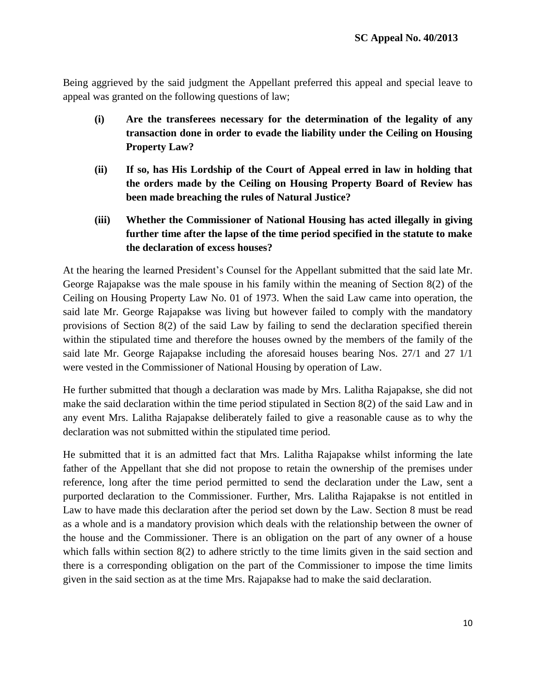Being aggrieved by the said judgment the Appellant preferred this appeal and special leave to appeal was granted on the following questions of law;

- **(i) Are the transferees necessary for the determination of the legality of any transaction done in order to evade the liability under the Ceiling on Housing Property Law?**
- **(ii) If so, has His Lordship of the Court of Appeal erred in law in holding that the orders made by the Ceiling on Housing Property Board of Review has been made breaching the rules of Natural Justice?**
- **(iii) Whether the Commissioner of National Housing has acted illegally in giving further time after the lapse of the time period specified in the statute to make the declaration of excess houses?**

At the hearing the learned President"s Counsel for the Appellant submitted that the said late Mr. George Rajapakse was the male spouse in his family within the meaning of Section 8(2) of the Ceiling on Housing Property Law No. 01 of 1973. When the said Law came into operation, the said late Mr. George Rajapakse was living but however failed to comply with the mandatory provisions of Section 8(2) of the said Law by failing to send the declaration specified therein within the stipulated time and therefore the houses owned by the members of the family of the said late Mr. George Rajapakse including the aforesaid houses bearing Nos. 27/1 and 27 1/1 were vested in the Commissioner of National Housing by operation of Law.

He further submitted that though a declaration was made by Mrs. Lalitha Rajapakse, she did not make the said declaration within the time period stipulated in Section 8(2) of the said Law and in any event Mrs. Lalitha Rajapakse deliberately failed to give a reasonable cause as to why the declaration was not submitted within the stipulated time period.

He submitted that it is an admitted fact that Mrs. Lalitha Rajapakse whilst informing the late father of the Appellant that she did not propose to retain the ownership of the premises under reference, long after the time period permitted to send the declaration under the Law, sent a purported declaration to the Commissioner. Further, Mrs. Lalitha Rajapakse is not entitled in Law to have made this declaration after the period set down by the Law. Section 8 must be read as a whole and is a mandatory provision which deals with the relationship between the owner of the house and the Commissioner. There is an obligation on the part of any owner of a house which falls within section 8(2) to adhere strictly to the time limits given in the said section and there is a corresponding obligation on the part of the Commissioner to impose the time limits given in the said section as at the time Mrs. Rajapakse had to make the said declaration.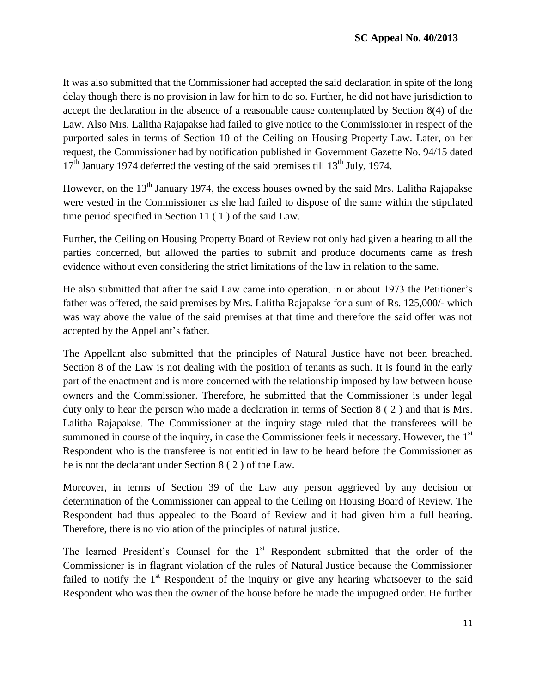It was also submitted that the Commissioner had accepted the said declaration in spite of the long delay though there is no provision in law for him to do so. Further, he did not have jurisdiction to accept the declaration in the absence of a reasonable cause contemplated by Section 8(4) of the Law. Also Mrs. Lalitha Rajapakse had failed to give notice to the Commissioner in respect of the purported sales in terms of Section 10 of the Ceiling on Housing Property Law. Later, on her request, the Commissioner had by notification published in Government Gazette No. 94/15 dated  $17<sup>th</sup>$  January 1974 deferred the vesting of the said premises till  $13<sup>th</sup>$  July, 1974.

However, on the 13<sup>th</sup> January 1974, the excess houses owned by the said Mrs. Lalitha Rajapakse were vested in the Commissioner as she had failed to dispose of the same within the stipulated time period specified in Section 11 ( 1 ) of the said Law.

Further, the Ceiling on Housing Property Board of Review not only had given a hearing to all the parties concerned, but allowed the parties to submit and produce documents came as fresh evidence without even considering the strict limitations of the law in relation to the same.

He also submitted that after the said Law came into operation, in or about 1973 the Petitioner's father was offered, the said premises by Mrs. Lalitha Rajapakse for a sum of Rs. 125,000/- which was way above the value of the said premises at that time and therefore the said offer was not accepted by the Appellant"s father.

The Appellant also submitted that the principles of Natural Justice have not been breached. Section 8 of the Law is not dealing with the position of tenants as such. It is found in the early part of the enactment and is more concerned with the relationship imposed by law between house owners and the Commissioner. Therefore, he submitted that the Commissioner is under legal duty only to hear the person who made a declaration in terms of Section 8 ( 2 ) and that is Mrs. Lalitha Rajapakse. The Commissioner at the inquiry stage ruled that the transferees will be summoned in course of the inquiry, in case the Commissioner feels it necessary. However, the  $1<sup>st</sup>$ Respondent who is the transferee is not entitled in law to be heard before the Commissioner as he is not the declarant under Section 8 ( 2 ) of the Law.

Moreover, in terms of Section 39 of the Law any person aggrieved by any decision or determination of the Commissioner can appeal to the Ceiling on Housing Board of Review. The Respondent had thus appealed to the Board of Review and it had given him a full hearing. Therefore, there is no violation of the principles of natural justice.

The learned President's Counsel for the  $1<sup>st</sup>$  Respondent submitted that the order of the Commissioner is in flagrant violation of the rules of Natural Justice because the Commissioner failed to notify the  $1<sup>st</sup>$  Respondent of the inquiry or give any hearing whatsoever to the said Respondent who was then the owner of the house before he made the impugned order. He further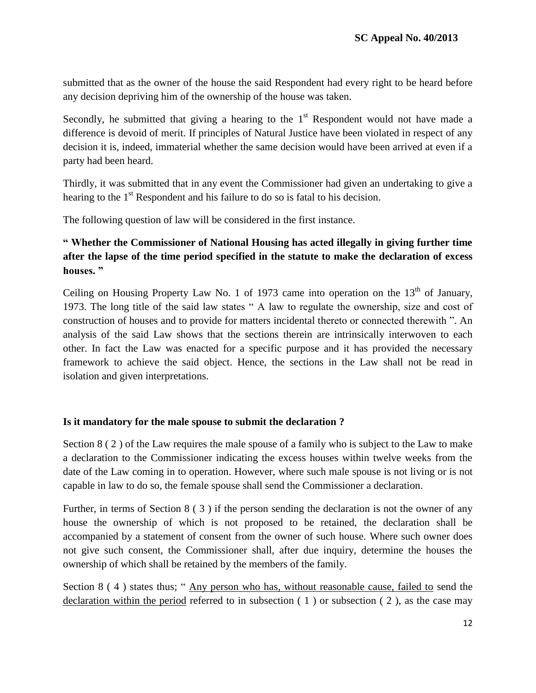submitted that as the owner of the house the said Respondent had every right to be heard before any decision depriving him of the ownership of the house was taken.

Secondly, he submitted that giving a hearing to the  $1<sup>st</sup>$  Respondent would not have made a difference is devoid of merit. If principles of Natural Justice have been violated in respect of any decision it is, indeed, immaterial whether the same decision would have been arrived at even if a party had been heard.

Thirdly, it was submitted that in any event the Commissioner had given an undertaking to give a hearing to the 1<sup>st</sup> Respondent and his failure to do so is fatal to his decision.

The following question of law will be considered in the first instance.

# **" Whether the Commissioner of National Housing has acted illegally in giving further time after the lapse of the time period specified in the statute to make the declaration of excess houses. "**

Ceiling on Housing Property Law No. 1 of 1973 came into operation on the  $13<sup>th</sup>$  of January, 1973. The long title of the said law states " A law to regulate the ownership, size and cost of construction of houses and to provide for matters incidental thereto or connected therewith ". An analysis of the said Law shows that the sections therein are intrinsically interwoven to each other. In fact the Law was enacted for a specific purpose and it has provided the necessary framework to achieve the said object. Hence, the sections in the Law shall not be read in isolation and given interpretations.

### **Is it mandatory for the male spouse to submit the declaration ?**

Section 8 ( 2 ) of the Law requires the male spouse of a family who is subject to the Law to make a declaration to the Commissioner indicating the excess houses within twelve weeks from the date of the Law coming in to operation. However, where such male spouse is not living or is not capable in law to do so, the female spouse shall send the Commissioner a declaration.

Further, in terms of Section 8 ( 3 ) if the person sending the declaration is not the owner of any house the ownership of which is not proposed to be retained, the declaration shall be accompanied by a statement of consent from the owner of such house. Where such owner does not give such consent, the Commissioner shall, after due inquiry, determine the houses the ownership of which shall be retained by the members of the family.

Section 8 (4) states thus; "Any person who has, without reasonable cause, failed to send the declaration within the period referred to in subsection ( 1 ) or subsection ( 2 ), as the case may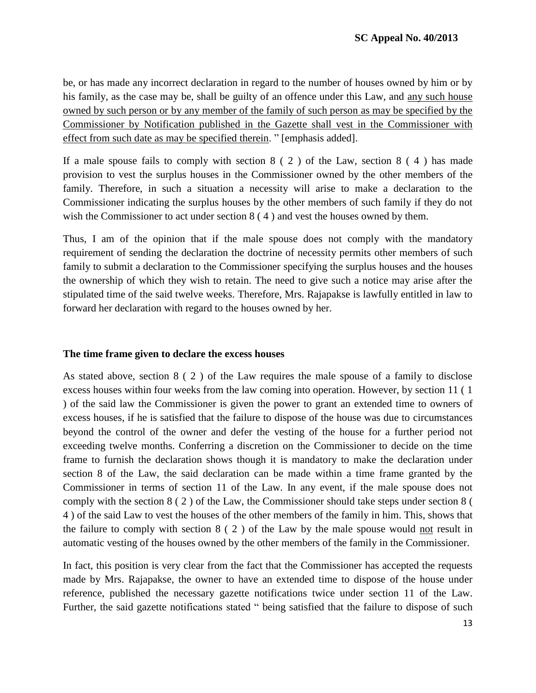be, or has made any incorrect declaration in regard to the number of houses owned by him or by his family, as the case may be, shall be guilty of an offence under this Law, and any such house owned by such person or by any member of the family of such person as may be specified by the Commissioner by Notification published in the Gazette shall vest in the Commissioner with effect from such date as may be specified therein. " [emphasis added].

If a male spouse fails to comply with section  $8(2)$  of the Law, section  $8(4)$  has made provision to vest the surplus houses in the Commissioner owned by the other members of the family. Therefore, in such a situation a necessity will arise to make a declaration to the Commissioner indicating the surplus houses by the other members of such family if they do not wish the Commissioner to act under section 8 ( 4 ) and vest the houses owned by them.

Thus, I am of the opinion that if the male spouse does not comply with the mandatory requirement of sending the declaration the doctrine of necessity permits other members of such family to submit a declaration to the Commissioner specifying the surplus houses and the houses the ownership of which they wish to retain. The need to give such a notice may arise after the stipulated time of the said twelve weeks. Therefore, Mrs. Rajapakse is lawfully entitled in law to forward her declaration with regard to the houses owned by her.

#### **The time frame given to declare the excess houses**

As stated above, section 8 ( 2 ) of the Law requires the male spouse of a family to disclose excess houses within four weeks from the law coming into operation. However, by section 11 ( 1 ) of the said law the Commissioner is given the power to grant an extended time to owners of excess houses, if he is satisfied that the failure to dispose of the house was due to circumstances beyond the control of the owner and defer the vesting of the house for a further period not exceeding twelve months. Conferring a discretion on the Commissioner to decide on the time frame to furnish the declaration shows though it is mandatory to make the declaration under section 8 of the Law, the said declaration can be made within a time frame granted by the Commissioner in terms of section 11 of the Law. In any event, if the male spouse does not comply with the section 8 ( 2 ) of the Law, the Commissioner should take steps under section 8 ( 4 ) of the said Law to vest the houses of the other members of the family in him. This, shows that the failure to comply with section 8 ( 2 ) of the Law by the male spouse would not result in automatic vesting of the houses owned by the other members of the family in the Commissioner.

In fact, this position is very clear from the fact that the Commissioner has accepted the requests made by Mrs. Rajapakse, the owner to have an extended time to dispose of the house under reference, published the necessary gazette notifications twice under section 11 of the Law. Further, the said gazette notifications stated " being satisfied that the failure to dispose of such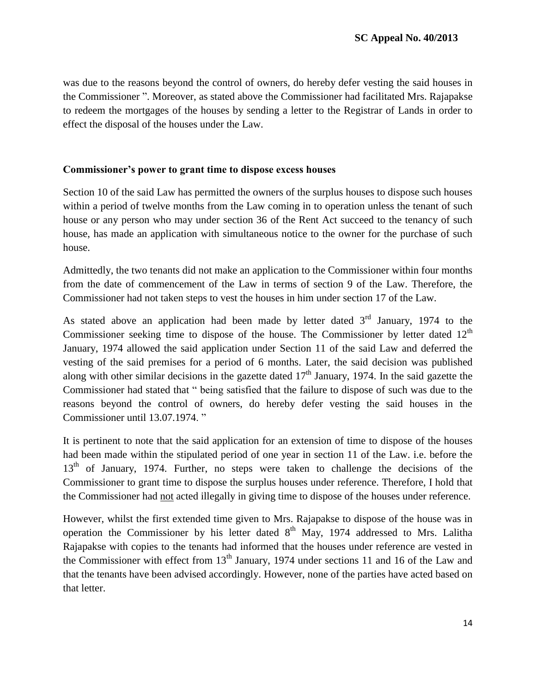was due to the reasons beyond the control of owners, do hereby defer vesting the said houses in the Commissioner ". Moreover, as stated above the Commissioner had facilitated Mrs. Rajapakse to redeem the mortgages of the houses by sending a letter to the Registrar of Lands in order to effect the disposal of the houses under the Law.

#### **Commissioner's power to grant time to dispose excess houses**

Section 10 of the said Law has permitted the owners of the surplus houses to dispose such houses within a period of twelve months from the Law coming in to operation unless the tenant of such house or any person who may under section 36 of the Rent Act succeed to the tenancy of such house, has made an application with simultaneous notice to the owner for the purchase of such house.

Admittedly, the two tenants did not make an application to the Commissioner within four months from the date of commencement of the Law in terms of section 9 of the Law. Therefore, the Commissioner had not taken steps to vest the houses in him under section 17 of the Law.

As stated above an application had been made by letter dated  $3<sup>rd</sup>$  January, 1974 to the Commissioner seeking time to dispose of the house. The Commissioner by letter dated  $12<sup>th</sup>$ January, 1974 allowed the said application under Section 11 of the said Law and deferred the vesting of the said premises for a period of 6 months. Later, the said decision was published along with other similar decisions in the gazette dated  $17<sup>th</sup>$  January, 1974. In the said gazette the Commissioner had stated that " being satisfied that the failure to dispose of such was due to the reasons beyond the control of owners, do hereby defer vesting the said houses in the Commissioner until 13.07.1974. "

It is pertinent to note that the said application for an extension of time to dispose of the houses had been made within the stipulated period of one year in section 11 of the Law. i.e. before the 13<sup>th</sup> of January, 1974. Further, no steps were taken to challenge the decisions of the Commissioner to grant time to dispose the surplus houses under reference. Therefore, I hold that the Commissioner had not acted illegally in giving time to dispose of the houses under reference.

However, whilst the first extended time given to Mrs. Rajapakse to dispose of the house was in operation the Commissioner by his letter dated  $8<sup>th</sup>$  May, 1974 addressed to Mrs. Lalitha Rajapakse with copies to the tenants had informed that the houses under reference are vested in the Commissioner with effect from  $13<sup>th</sup>$  January, 1974 under sections 11 and 16 of the Law and that the tenants have been advised accordingly. However, none of the parties have acted based on that letter.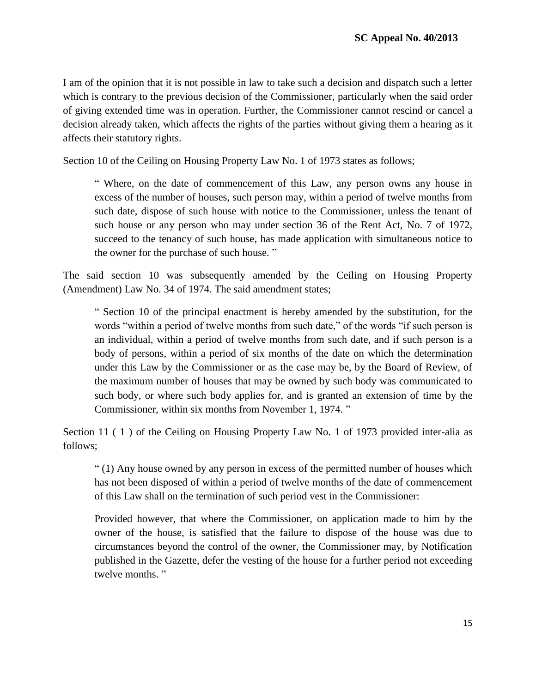I am of the opinion that it is not possible in law to take such a decision and dispatch such a letter which is contrary to the previous decision of the Commissioner, particularly when the said order of giving extended time was in operation. Further, the Commissioner cannot rescind or cancel a decision already taken, which affects the rights of the parties without giving them a hearing as it affects their statutory rights.

Section 10 of the Ceiling on Housing Property Law No. 1 of 1973 states as follows;

" Where, on the date of commencement of this Law, any person owns any house in excess of the number of houses, such person may, within a period of twelve months from such date, dispose of such house with notice to the Commissioner, unless the tenant of such house or any person who may under section 36 of the Rent Act, No. 7 of 1972, succeed to the tenancy of such house, has made application with simultaneous notice to the owner for the purchase of such house. "

The said section 10 was subsequently amended by the Ceiling on Housing Property (Amendment) Law No. 34 of 1974. The said amendment states;

" Section 10 of the principal enactment is hereby amended by the substitution, for the words "within a period of twelve months from such date," of the words "if such person is an individual, within a period of twelve months from such date, and if such person is a body of persons, within a period of six months of the date on which the determination under this Law by the Commissioner or as the case may be, by the Board of Review, of the maximum number of houses that may be owned by such body was communicated to such body, or where such body applies for, and is granted an extension of time by the Commissioner, within six months from November 1, 1974. "

Section 11 (1) of the Ceiling on Housing Property Law No. 1 of 1973 provided inter-alia as follows;

" (1) Any house owned by any person in excess of the permitted number of houses which has not been disposed of within a period of twelve months of the date of commencement of this Law shall on the termination of such period vest in the Commissioner:

Provided however, that where the Commissioner, on application made to him by the owner of the house, is satisfied that the failure to dispose of the house was due to circumstances beyond the control of the owner, the Commissioner may, by Notification published in the Gazette, defer the vesting of the house for a further period not exceeding twelve months."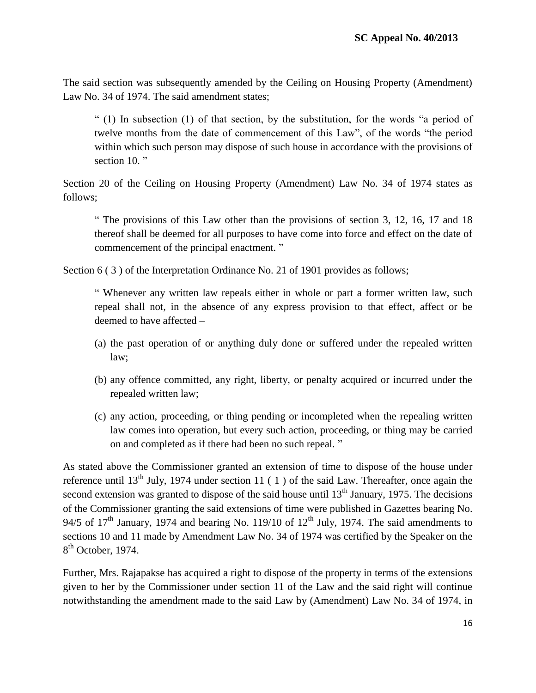The said section was subsequently amended by the Ceiling on Housing Property (Amendment) Law No. 34 of 1974. The said amendment states;

" (1) In subsection (1) of that section, by the substitution, for the words "a period of twelve months from the date of commencement of this Law", of the words "the period within which such person may dispose of such house in accordance with the provisions of section 10."

Section 20 of the Ceiling on Housing Property (Amendment) Law No. 34 of 1974 states as follows;

" The provisions of this Law other than the provisions of section 3, 12, 16, 17 and 18 thereof shall be deemed for all purposes to have come into force and effect on the date of commencement of the principal enactment. "

Section 6 (3) of the Interpretation Ordinance No. 21 of 1901 provides as follows;

" Whenever any written law repeals either in whole or part a former written law, such repeal shall not, in the absence of any express provision to that effect, affect or be deemed to have affected –

- (a) the past operation of or anything duly done or suffered under the repealed written law;
- (b) any offence committed, any right, liberty, or penalty acquired or incurred under the repealed written law;
- (c) any action, proceeding, or thing pending or incompleted when the repealing written law comes into operation, but every such action, proceeding, or thing may be carried on and completed as if there had been no such repeal. "

As stated above the Commissioner granted an extension of time to dispose of the house under reference until 13<sup>th</sup> July, 1974 under section 11 (1) of the said Law. Thereafter, once again the second extension was granted to dispose of the said house until  $13<sup>th</sup>$  January, 1975. The decisions of the Commissioner granting the said extensions of time were published in Gazettes bearing No. 94/5 of  $17<sup>th</sup>$  January, 1974 and bearing No. 119/10 of  $12<sup>th</sup>$  July, 1974. The said amendments to sections 10 and 11 made by Amendment Law No. 34 of 1974 was certified by the Speaker on the 8<sup>th</sup> October, 1974.

Further, Mrs. Rajapakse has acquired a right to dispose of the property in terms of the extensions given to her by the Commissioner under section 11 of the Law and the said right will continue notwithstanding the amendment made to the said Law by (Amendment) Law No. 34 of 1974, in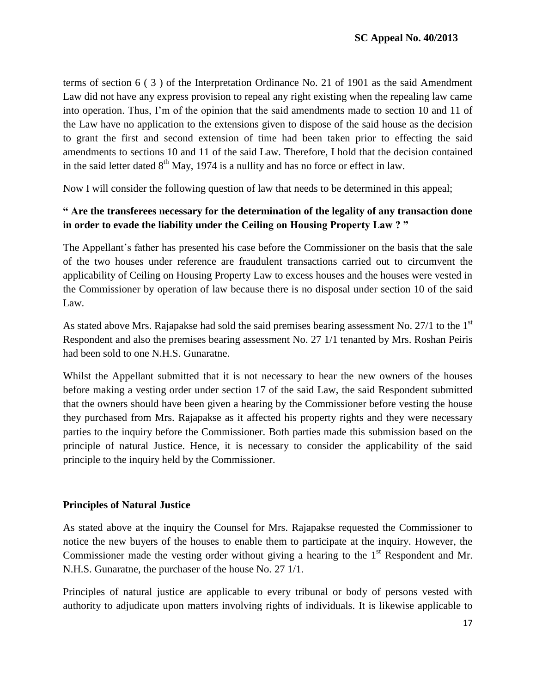terms of section 6 ( 3 ) of the Interpretation Ordinance No. 21 of 1901 as the said Amendment Law did not have any express provision to repeal any right existing when the repealing law came into operation. Thus, I"m of the opinion that the said amendments made to section 10 and 11 of the Law have no application to the extensions given to dispose of the said house as the decision to grant the first and second extension of time had been taken prior to effecting the said amendments to sections 10 and 11 of the said Law. Therefore, I hold that the decision contained in the said letter dated  $8<sup>th</sup>$  May, 1974 is a nullity and has no force or effect in law.

Now I will consider the following question of law that needs to be determined in this appeal;

### **" Are the transferees necessary for the determination of the legality of any transaction done in order to evade the liability under the Ceiling on Housing Property Law ? "**

The Appellant"s father has presented his case before the Commissioner on the basis that the sale of the two houses under reference are fraudulent transactions carried out to circumvent the applicability of Ceiling on Housing Property Law to excess houses and the houses were vested in the Commissioner by operation of law because there is no disposal under section 10 of the said Law.

As stated above Mrs. Rajapakse had sold the said premises bearing assessment No. 27/1 to the  $1<sup>st</sup>$ Respondent and also the premises bearing assessment No. 27 1/1 tenanted by Mrs. Roshan Peiris had been sold to one N.H.S. Gunaratne.

Whilst the Appellant submitted that it is not necessary to hear the new owners of the houses before making a vesting order under section 17 of the said Law, the said Respondent submitted that the owners should have been given a hearing by the Commissioner before vesting the house they purchased from Mrs. Rajapakse as it affected his property rights and they were necessary parties to the inquiry before the Commissioner. Both parties made this submission based on the principle of natural Justice. Hence, it is necessary to consider the applicability of the said principle to the inquiry held by the Commissioner.

### **Principles of Natural Justice**

As stated above at the inquiry the Counsel for Mrs. Rajapakse requested the Commissioner to notice the new buyers of the houses to enable them to participate at the inquiry. However, the Commissioner made the vesting order without giving a hearing to the  $1<sup>st</sup>$  Respondent and Mr. N.H.S. Gunaratne, the purchaser of the house No. 27 1/1.

Principles of natural justice are applicable to every tribunal or body of persons vested with authority to adjudicate upon matters involving rights of individuals. It is likewise applicable to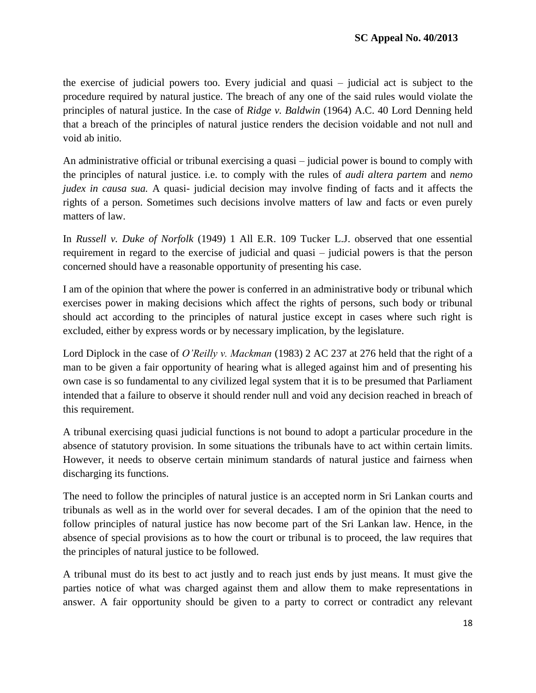the exercise of judicial powers too. Every judicial and quasi – judicial act is subject to the procedure required by natural justice. The breach of any one of the said rules would violate the principles of natural justice. In the case of *Ridge v. Baldwin* (1964) A.C. 40 Lord Denning held that a breach of the principles of natural justice renders the decision voidable and not null and void ab initio.

An administrative official or tribunal exercising a quasi – judicial power is bound to comply with the principles of natural justice. i.e. to comply with the rules of *audi altera partem* and *nemo judex in causa sua.* A quasi- judicial decision may involve finding of facts and it affects the rights of a person. Sometimes such decisions involve matters of law and facts or even purely matters of law.

In *Russell v. Duke of Norfolk* (1949) 1 All E.R. 109 Tucker L.J. observed that one essential requirement in regard to the exercise of judicial and quasi – judicial powers is that the person concerned should have a reasonable opportunity of presenting his case.

I am of the opinion that where the power is conferred in an administrative body or tribunal which exercises power in making decisions which affect the rights of persons, such body or tribunal should act according to the principles of natural justice except in cases where such right is excluded, either by express words or by necessary implication, by the legislature.

Lord Diplock in the case of *O'Reilly v. Mackman* (1983) 2 AC 237 at 276 held that the right of a man to be given a fair opportunity of hearing what is alleged against him and of presenting his own case is so fundamental to any civilized legal system that it is to be presumed that Parliament intended that a failure to observe it should render null and void any decision reached in breach of this requirement.

A tribunal exercising quasi judicial functions is not bound to adopt a particular procedure in the absence of statutory provision. In some situations the tribunals have to act within certain limits. However, it needs to observe certain minimum standards of natural justice and fairness when discharging its functions.

The need to follow the principles of natural justice is an accepted norm in Sri Lankan courts and tribunals as well as in the world over for several decades. I am of the opinion that the need to follow principles of natural justice has now become part of the Sri Lankan law. Hence, in the absence of special provisions as to how the court or tribunal is to proceed, the law requires that the principles of natural justice to be followed.

A tribunal must do its best to act justly and to reach just ends by just means. It must give the parties notice of what was charged against them and allow them to make representations in answer. A fair opportunity should be given to a party to correct or contradict any relevant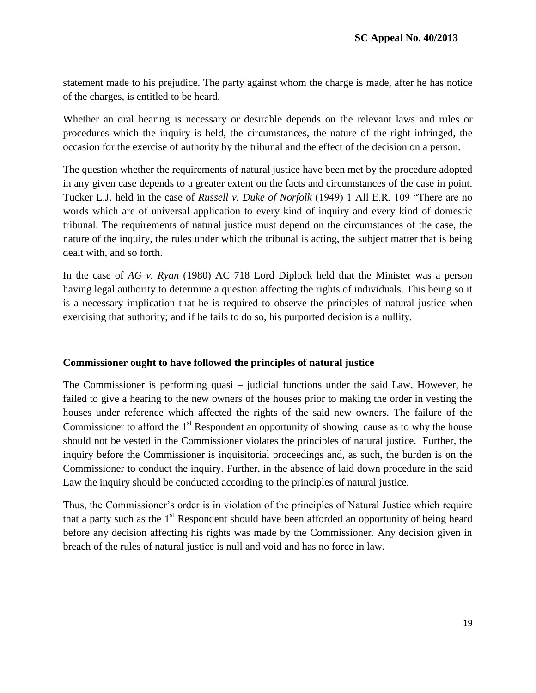statement made to his prejudice. The party against whom the charge is made, after he has notice of the charges, is entitled to be heard.

Whether an oral hearing is necessary or desirable depends on the relevant laws and rules or procedures which the inquiry is held, the circumstances, the nature of the right infringed, the occasion for the exercise of authority by the tribunal and the effect of the decision on a person.

The question whether the requirements of natural justice have been met by the procedure adopted in any given case depends to a greater extent on the facts and circumstances of the case in point. Tucker L.J. held in the case of *Russell v. Duke of Norfolk* (1949) 1 All E.R. 109 "There are no words which are of universal application to every kind of inquiry and every kind of domestic tribunal. The requirements of natural justice must depend on the circumstances of the case, the nature of the inquiry, the rules under which the tribunal is acting, the subject matter that is being dealt with, and so forth.

In the case of *AG v. Ryan* (1980) AC 718 Lord Diplock held that the Minister was a person having legal authority to determine a question affecting the rights of individuals. This being so it is a necessary implication that he is required to observe the principles of natural justice when exercising that authority; and if he fails to do so, his purported decision is a nullity.

### **Commissioner ought to have followed the principles of natural justice**

The Commissioner is performing quasi – judicial functions under the said Law. However, he failed to give a hearing to the new owners of the houses prior to making the order in vesting the houses under reference which affected the rights of the said new owners. The failure of the Commissioner to afford the  $1<sup>st</sup>$  Respondent an opportunity of showing cause as to why the house should not be vested in the Commissioner violates the principles of natural justice. Further, the inquiry before the Commissioner is inquisitorial proceedings and, as such, the burden is on the Commissioner to conduct the inquiry. Further, in the absence of laid down procedure in the said Law the inquiry should be conducted according to the principles of natural justice.

Thus, the Commissioner's order is in violation of the principles of Natural Justice which require that a party such as the  $1<sup>st</sup>$  Respondent should have been afforded an opportunity of being heard before any decision affecting his rights was made by the Commissioner. Any decision given in breach of the rules of natural justice is null and void and has no force in law.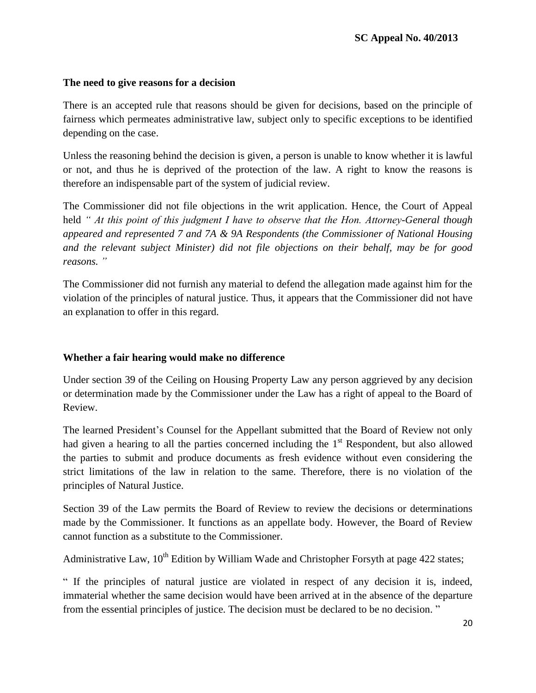### **The need to give reasons for a decision**

There is an accepted rule that reasons should be given for decisions, based on the principle of fairness which permeates administrative law, subject only to specific exceptions to be identified depending on the case.

Unless the reasoning behind the decision is given, a person is unable to know whether it is lawful or not, and thus he is deprived of the protection of the law. A right to know the reasons is therefore an indispensable part of the system of judicial review.

The Commissioner did not file objections in the writ application. Hence, the Court of Appeal held *" At this point of this judgment I have to observe that the Hon. Attorney-General though appeared and represented 7 and 7A & 9A Respondents (the Commissioner of National Housing and the relevant subject Minister) did not file objections on their behalf, may be for good reasons. "*

The Commissioner did not furnish any material to defend the allegation made against him for the violation of the principles of natural justice. Thus, it appears that the Commissioner did not have an explanation to offer in this regard.

### **Whether a fair hearing would make no difference**

Under section 39 of the Ceiling on Housing Property Law any person aggrieved by any decision or determination made by the Commissioner under the Law has a right of appeal to the Board of Review.

The learned President"s Counsel for the Appellant submitted that the Board of Review not only had given a hearing to all the parties concerned including the  $1<sup>st</sup>$  Respondent, but also allowed the parties to submit and produce documents as fresh evidence without even considering the strict limitations of the law in relation to the same. Therefore, there is no violation of the principles of Natural Justice.

Section 39 of the Law permits the Board of Review to review the decisions or determinations made by the Commissioner. It functions as an appellate body. However, the Board of Review cannot function as a substitute to the Commissioner.

Administrative Law,  $10^{th}$  Edition by William Wade and Christopher Forsyth at page 422 states;

" If the principles of natural justice are violated in respect of any decision it is, indeed, immaterial whether the same decision would have been arrived at in the absence of the departure from the essential principles of justice. The decision must be declared to be no decision. "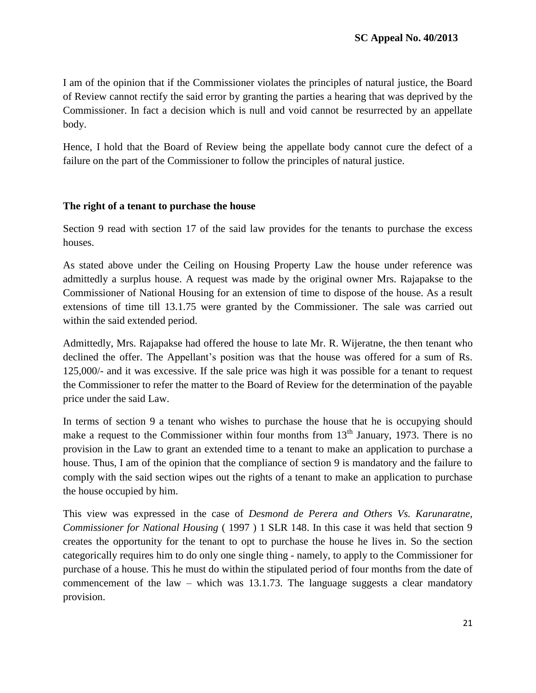I am of the opinion that if the Commissioner violates the principles of natural justice, the Board of Review cannot rectify the said error by granting the parties a hearing that was deprived by the Commissioner. In fact a decision which is null and void cannot be resurrected by an appellate body.

Hence, I hold that the Board of Review being the appellate body cannot cure the defect of a failure on the part of the Commissioner to follow the principles of natural justice.

### **The right of a tenant to purchase the house**

Section 9 read with section 17 of the said law provides for the tenants to purchase the excess houses.

As stated above under the Ceiling on Housing Property Law the house under reference was admittedly a surplus house. A request was made by the original owner Mrs. Rajapakse to the Commissioner of National Housing for an extension of time to dispose of the house. As a result extensions of time till 13.1.75 were granted by the Commissioner. The sale was carried out within the said extended period.

Admittedly, Mrs. Rajapakse had offered the house to late Mr. R. Wijeratne, the then tenant who declined the offer. The Appellant"s position was that the house was offered for a sum of Rs. 125,000/- and it was excessive. If the sale price was high it was possible for a tenant to request the Commissioner to refer the matter to the Board of Review for the determination of the payable price under the said Law.

In terms of section 9 a tenant who wishes to purchase the house that he is occupying should make a request to the Commissioner within four months from  $13<sup>th</sup>$  January, 1973. There is no provision in the Law to grant an extended time to a tenant to make an application to purchase a house. Thus, I am of the opinion that the compliance of section 9 is mandatory and the failure to comply with the said section wipes out the rights of a tenant to make an application to purchase the house occupied by him.

This view was expressed in the case of *Desmond de Perera and Others Vs. Karunaratne, Commissioner for National Housing* ( 1997 ) 1 SLR 148. In this case it was held that section 9 creates the opportunity for the tenant to opt to purchase the house he lives in. So the section categorically requires him to do only one single thing - namely, to apply to the Commissioner for purchase of a house. This he must do within the stipulated period of four months from the date of commencement of the law – which was  $13.1.73$ . The language suggests a clear mandatory provision.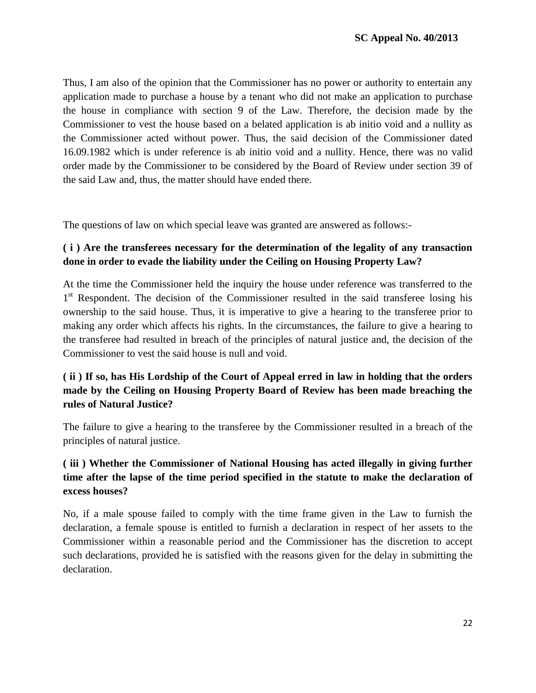Thus, I am also of the opinion that the Commissioner has no power or authority to entertain any application made to purchase a house by a tenant who did not make an application to purchase the house in compliance with section 9 of the Law. Therefore, the decision made by the Commissioner to vest the house based on a belated application is ab initio void and a nullity as the Commissioner acted without power. Thus, the said decision of the Commissioner dated 16.09.1982 which is under reference is ab initio void and a nullity. Hence, there was no valid order made by the Commissioner to be considered by the Board of Review under section 39 of the said Law and, thus, the matter should have ended there.

The questions of law on which special leave was granted are answered as follows:-

### **( i ) Are the transferees necessary for the determination of the legality of any transaction done in order to evade the liability under the Ceiling on Housing Property Law?**

At the time the Commissioner held the inquiry the house under reference was transferred to the 1<sup>st</sup> Respondent. The decision of the Commissioner resulted in the said transferee losing his ownership to the said house. Thus, it is imperative to give a hearing to the transferee prior to making any order which affects his rights. In the circumstances, the failure to give a hearing to the transferee had resulted in breach of the principles of natural justice and, the decision of the Commissioner to vest the said house is null and void.

# **( ii ) If so, has His Lordship of the Court of Appeal erred in law in holding that the orders made by the Ceiling on Housing Property Board of Review has been made breaching the rules of Natural Justice?**

The failure to give a hearing to the transferee by the Commissioner resulted in a breach of the principles of natural justice.

# **( iii ) Whether the Commissioner of National Housing has acted illegally in giving further time after the lapse of the time period specified in the statute to make the declaration of excess houses?**

No, if a male spouse failed to comply with the time frame given in the Law to furnish the declaration, a female spouse is entitled to furnish a declaration in respect of her assets to the Commissioner within a reasonable period and the Commissioner has the discretion to accept such declarations, provided he is satisfied with the reasons given for the delay in submitting the declaration.